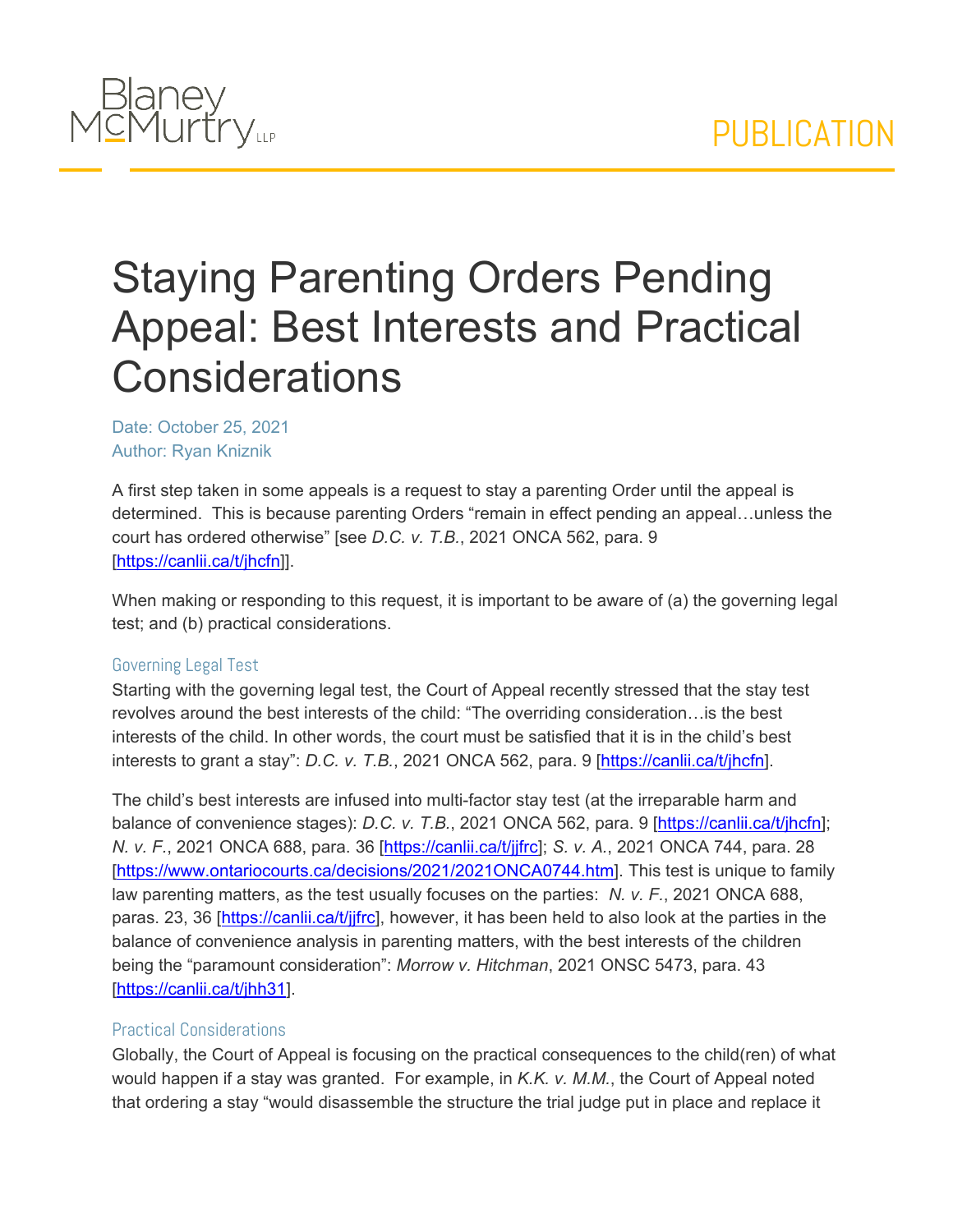

## Staying Parenting Orders Pending Appeal: Best Interests and Practical **Considerations**

Date: October 25, 2021 Author: Ryan Kniznik

A first step taken in some appeals is a request to stay a parenting Order until the appeal is determined. This is because parenting Orders "remain in effect pending an appeal…unless the court has ordered otherwise" [see *D.C. v. T.B.*, 2021 ONCA 562, para. 9 [\[https://canlii.ca/t/jhcfn](https://canlii.ca/t/jhcfn)]].

When making or responding to this request, it is important to be aware of (a) the governing legal test; and (b) practical considerations.

## Governing Legal Test

Starting with the governing legal test, the Court of Appeal recently stressed that the stay test revolves around the best interests of the child: "The overriding consideration…is the best interests of the child. In other words, the court must be satisfied that it is in the child's best interests to grant a stay": *D.C. v. T.B.*, 2021 ONCA 562, para. 9 [\[https://canlii.ca/t/jhcfn](https://canlii.ca/t/jhcfn)].

The child's best interests are infused into multi-factor stay test (at the irreparable harm and balance of convenience stages): *D.C. v. T.B.*, 2021 ONCA 562, para. 9 [[https://canlii.ca/t/jhcfn\]](https://canlii.ca/t/jhcfn); *N. v. F.*, 2021 ONCA 688, para. 36 [[https://canlii.ca/t/jjfrc\]](https://canlii.ca/t/jjfrc); *S. v. A.*, 2021 ONCA 744, para. 28 [\[https://www.ontariocourts.ca/decisions/2021/2021ONCA0744.htm\]](https://www.ontariocourts.ca/decisions/2021/2021ONCA0744.htm). This test is unique to family law parenting matters, as the test usually focuses on the parties: *N. v. F.*, 2021 ONCA 688, paras. 23, 36 [\[https://canlii.ca/t/jjfrc](https://canlii.ca/t/jjfrc)], however, it has been held to also look at the parties in the balance of convenience analysis in parenting matters, with the best interests of the children being the "paramount consideration": *Morrow v. Hitchman*, 2021 ONSC 5473, para. 43 [\[https://canlii.ca/t/jhh31\]](https://canlii.ca/t/jhh31).

## Practical Considerations

Globally, the Court of Appeal is focusing on the practical consequences to the child(ren) of what would happen if a stay was granted. For example, in *K.K. v. M.M.*, the Court of Appeal noted that ordering a stay "would disassemble the structure the trial judge put in place and replace it